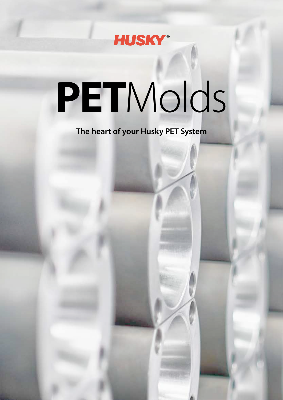

# **PET**Molds

**The heart of your Husky PET System**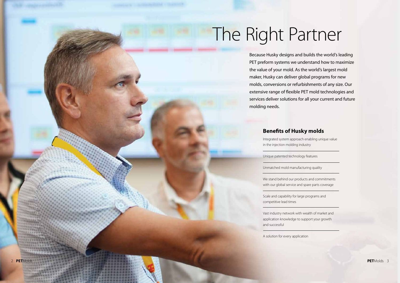## The Right Partner

### **Benefits of Husky molds**

Integrated system approach enabling unique value in the injection molding industry

Unique patented technology features

Unmatched mold manufacturing quality

We stand behind our products and commitments with our global service and spare parts coverage

Scale and capability for large programs and competitive lead times

Vast industry network with wealth of market and application knowledge to support your growth and successful

A solution for every application



Because Husky designs and builds the world's leading PET preform systems we understand how to maximize the value of your mold. As the world's largest mold maker, Husky can deliver global programs for new molds, conversions or refurbishments of any size. Our extensive range of flexible PET mold technologies and services deliver solutions for all your current and future molding needs.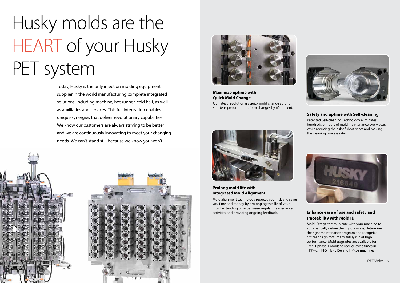## Husky molds are the HEART of your Husky PET system

Today, Husky is the only injection molding equipment supplier in the world manufacturing complete integrated solutions, including machine, hot runner, cold half, as well as auxiliaries and services. This full integration enables unique synergies that deliver revolutionary capabilities. We know our customers are always striving to be better and we are continuously innovating to meet your changing needs. We can't stand still because we know you won't.

**Maximize uptime with Quick Mold Change** Our latest revolutionary quick mold change solution shortens preform to preform changes by 60 percent.



#### **Prolong mold life with Integrated Mold Alignment**

Mold alignment technology reduces your risk and saves you time and money by prolonging the life of your mold, extending time between regular maintenance activities and providing ongoing feedback.



#### **Safety and uptime with Self-cleaning**

Patented Self-cleaning Technology eliminates hundreds of hours of mold maintenance every year, while reducing the risk of short shots and making the cleaning process safer.



#### **Enhance ease of use and safety and traceability with Mold ID**

Mold ID tags communicate with your machine to automatically define the right process, determine the right maintenance program and recognize critical design features to safely run at high performance. Mold upgrades are available for HyPET phase 1 molds to reduce cycle times in HPP4.0, HPP5, HyPET5e and HPP5e machines.



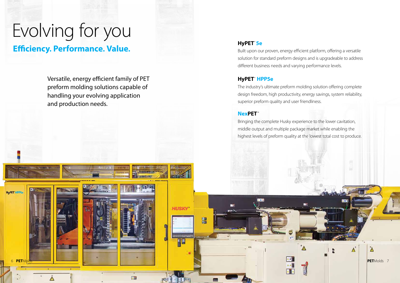### **HyPET**® **5e**

Built upon our proven, energy efficient platform, offering a versatile solution for standard preform designs and is upgradeable to address different business needs and varying performance levels.

### **HyPET**® **HPP5e**

The industry's ultimate preform molding solution offering complete design freedom, high productivity, energy savings, system reliability, superior preform quality and user friendliness.

### **NexPET**™

**HUSKY** 

四四

国

開

Bringing the complete Husky experience to the lower cavitation, middle output and multiple package market while enabling the highest levels of preform quality at the lowest total cost to produce.

画



Versatile, energy efficient family of PET preform molding solutions capable of handling your evolving application and production needs.

### **Efficiency. Performance. Value.**

HyPET HPP

## Evolving for you

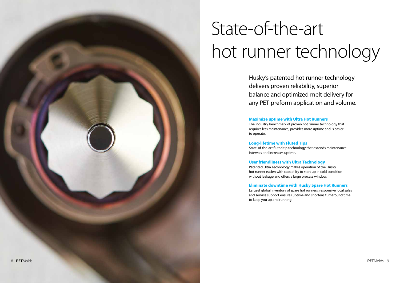## State-of-the-art hot runner technology

Husky's patented hot runner technology delivers proven reliability, superior balance and optimized melt delivery for any PET preform application and volume.

**Maximize uptime with Ultra Hot Runners** The industry benchmark of proven hot runner technology that requires less maintenance, provides more uptime and is easier to operate.

**Long-lifetime with Fluted Tips** State-of-the-art fluted tip technology that extends maintenance intervals and increases uptime.

**User friendliness with Ultra Technology** Patented Ultra Technology makes operation of the Husky hot runner easier; with capability to start up in cold condition without leakage and offers a large process window.

**Eliminate downtime with Husky Spare Hot Runners** Largest global inventory of spare hot runners, responsive local sales and service support ensures uptime and shortens turnaround time to keep you up and running.

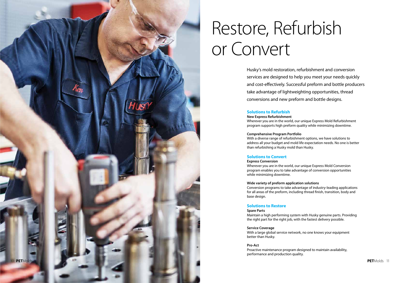### Restore, Refurbish or Convert

Husky's mold restoration, refurbishment and conversion services are designed to help you meet your needs quickly and cost-effectively. Successful preform and bottle producers take advantage of lightweighting opportunities, thread conversions and new preform and bottle designs.

#### **Solutions to Refurbish**

**New Express Refurbishment** Wherever you are in the world, our unique Express Mold Refurbishment program supports high preform quality while minimizing downtime.

**Comprehensive Program Portfolio** With a diverse range of refurbishment options, we have solutions to address all your budget and mold life expectation needs. No one is better than refurbishing a Husky mold than Husky.

#### **Solutions to Convert**

**Express Conversion**

Wherever you are in the world, our unique Express Mold Conversion program enables you to take advantage of conversion opportunities while minimizing downtime.

**Wide variety of preform application solutions** Conversion programs to take advantage of industry-leading applications for all areas of the preform, including thread finish, transition, body and base design.

#### **Solutions to Restore**

#### **Spare Parts**

Maintain a high performing system with Husky genuine parts. Providing the right part for the right job, with the fastest delivery possible.

**Service Coverage**

With a large global service network, no one knows your equipment better than Husky.

**Pro-Act**

Proactive maintenance program designed to maintain availability, performance and production quality.

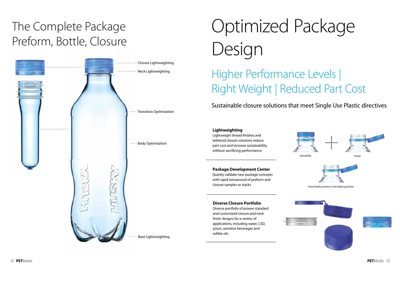## Optimized Package Design

### Higher Performance Levels | Right Weight | Reduced Part Cost

Sustainable closure solutions that meet Single Use Plastic directives

#### **Lightweighting**



Lightweight thread finishes and tethered closure solutions reduce part cost and increase sustainability without sacrificing performance.

#### **Diverse Closure Portfolio**

Diverse portfolio of proven standard and customized closure and neck finish designs for a variety of applications, including water, CSD, juices, sensitive beverages and edible oils



#### **Package Development Center**

Quickly validate new package concepts with rapid turnaround of preform and closure samples or stacks



### The Complete Package Preform, Bottle, Closure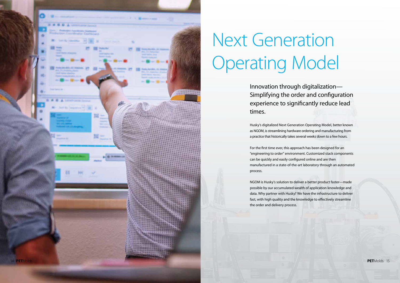## Next Generation Operating Model

Innovation through digitalization— Simplifying the order and configuration experience to significantly reduce lead times.

Husky's digitalized Next Generation Operating Model, better known as NGOM, is streamlining hardware ordering and manufacturing from a practice that historically takes several weeks down to a few hours.

For the first time ever, this approach has been designed for an "engineering to order" environment. Customized stack components can be quickly and easily configured online and are then manufactured in a state-of-the-art laboratory through an automated process.

NGOM is Husky's solution to deliver a better product faster—made possible by our accumulated wealth of application knowledge and data. Why partner with Husky? We have the infrastructure to deliver fast, with high quality and the knowledge to effectively streamline the order and delivery process.